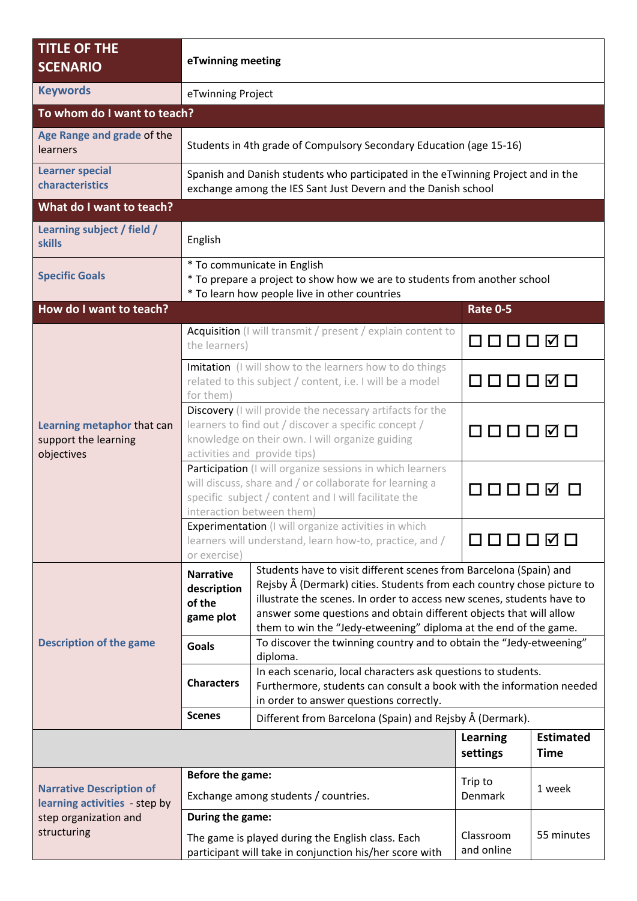| <b>TITLE OF THE</b><br><b>SCENARIO</b>                                                                   | eTwinning meeting                                                                                                                                                                                         |                                                                                                                                                                                                                                                                                                                                                                  |                                    |                                 |  |  |  |
|----------------------------------------------------------------------------------------------------------|-----------------------------------------------------------------------------------------------------------------------------------------------------------------------------------------------------------|------------------------------------------------------------------------------------------------------------------------------------------------------------------------------------------------------------------------------------------------------------------------------------------------------------------------------------------------------------------|------------------------------------|---------------------------------|--|--|--|
| <b>Keywords</b>                                                                                          | eTwinning Project                                                                                                                                                                                         |                                                                                                                                                                                                                                                                                                                                                                  |                                    |                                 |  |  |  |
| To whom do I want to teach?                                                                              |                                                                                                                                                                                                           |                                                                                                                                                                                                                                                                                                                                                                  |                                    |                                 |  |  |  |
| Age Range and grade of the<br><b>learners</b>                                                            | Students in 4th grade of Compulsory Secondary Education (age 15-16)                                                                                                                                       |                                                                                                                                                                                                                                                                                                                                                                  |                                    |                                 |  |  |  |
| <b>Learner special</b><br>characteristics                                                                | Spanish and Danish students who participated in the eTwinning Project and in the<br>exchange among the IES Sant Just Devern and the Danish school                                                         |                                                                                                                                                                                                                                                                                                                                                                  |                                    |                                 |  |  |  |
| What do I want to teach?                                                                                 |                                                                                                                                                                                                           |                                                                                                                                                                                                                                                                                                                                                                  |                                    |                                 |  |  |  |
| Learning subject / field /<br><b>skills</b>                                                              | English                                                                                                                                                                                                   |                                                                                                                                                                                                                                                                                                                                                                  |                                    |                                 |  |  |  |
| <b>Specific Goals</b>                                                                                    | * To communicate in English<br>* To prepare a project to show how we are to students from another school<br>* To learn how people live in other countries                                                 |                                                                                                                                                                                                                                                                                                                                                                  |                                    |                                 |  |  |  |
| How do I want to teach?                                                                                  |                                                                                                                                                                                                           |                                                                                                                                                                                                                                                                                                                                                                  | <b>Rate 0-5</b>                    |                                 |  |  |  |
| Learning metaphor that can<br>support the learning<br>objectives                                         | Acquisition (I will transmit / present / explain content to<br>the learners)                                                                                                                              |                                                                                                                                                                                                                                                                                                                                                                  |                                    |                                 |  |  |  |
|                                                                                                          | Imitation (I will show to the learners how to do things<br>related to this subject / content, i.e. I will be a model<br>for them)                                                                         |                                                                                                                                                                                                                                                                                                                                                                  | $\mathsf{I} \mathsf{V}$            |                                 |  |  |  |
|                                                                                                          | Discovery (I will provide the necessary artifacts for the<br>learners to find out / discover a specific concept /<br>knowledge on their own. I will organize guiding<br>activities and provide tips)      |                                                                                                                                                                                                                                                                                                                                                                  | □□□○□□                             |                                 |  |  |  |
|                                                                                                          | Participation (I will organize sessions in which learners<br>will discuss, share and / or collaborate for learning a<br>specific subject / content and I will facilitate the<br>interaction between them) |                                                                                                                                                                                                                                                                                                                                                                  |                                    |                                 |  |  |  |
|                                                                                                          | Experimentation (I will organize activities in which<br>learners will understand, learn how-to, practice, and /<br>or exercise)                                                                           |                                                                                                                                                                                                                                                                                                                                                                  | $\mathsf{I} \mathsf{V} \mathsf{I}$ |                                 |  |  |  |
|                                                                                                          | <b>Narrative</b><br>description<br>of the<br>game plot                                                                                                                                                    | Students have to visit different scenes from Barcelona (Spain) and<br>Rejsby Å (Dermark) cities. Students from each country chose picture to<br>illustrate the scenes. In order to access new scenes, students have to<br>answer some questions and obtain different objects that will allow<br>them to win the "Jedy-etweening" diploma at the end of the game. |                                    |                                 |  |  |  |
| <b>Description of the game</b>                                                                           | <b>Goals</b>                                                                                                                                                                                              | To discover the twinning country and to obtain the "Jedy-etweening"                                                                                                                                                                                                                                                                                              |                                    |                                 |  |  |  |
|                                                                                                          | <b>Characters</b>                                                                                                                                                                                         | diploma.<br>In each scenario, local characters ask questions to students.<br>Furthermore, students can consult a book with the information needed<br>in order to answer questions correctly.                                                                                                                                                                     |                                    |                                 |  |  |  |
|                                                                                                          | <b>Scenes</b>                                                                                                                                                                                             | Different from Barcelona (Spain) and Rejsby Å (Dermark).                                                                                                                                                                                                                                                                                                         |                                    |                                 |  |  |  |
|                                                                                                          |                                                                                                                                                                                                           |                                                                                                                                                                                                                                                                                                                                                                  | <b>Learning</b><br>settings        | <b>Estimated</b><br><b>Time</b> |  |  |  |
| <b>Narrative Description of</b><br>learning activities - step by<br>step organization and<br>structuring | Before the game:<br>Exchange among students / countries.                                                                                                                                                  |                                                                                                                                                                                                                                                                                                                                                                  | Trip to<br>Denmark                 | 1 week                          |  |  |  |
|                                                                                                          | During the game:                                                                                                                                                                                          |                                                                                                                                                                                                                                                                                                                                                                  |                                    |                                 |  |  |  |
|                                                                                                          | The game is played during the English class. Each<br>participant will take in conjunction his/her score with                                                                                              |                                                                                                                                                                                                                                                                                                                                                                  | Classroom<br>and online            | 55 minutes                      |  |  |  |